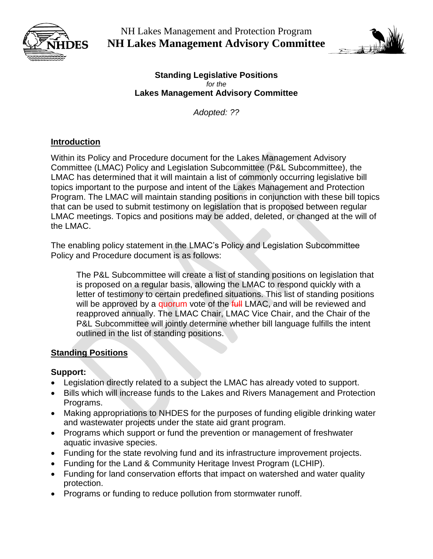



#### **Standing Legislative Positions** *for the* **Lakes Management Advisory Committee**

*Adopted: ??*

# **Introduction**

Within its Policy and Procedure document for the Lakes Management Advisory Committee (LMAC) Policy and Legislation Subcommittee (P&L Subcommittee), the LMAC has determined that it will maintain a list of commonly occurring legislative bill topics important to the purpose and intent of the Lakes Management and Protection Program. The LMAC will maintain standing positions in conjunction with these bill topics that can be used to submit testimony on legislation that is proposed between regular LMAC meetings. Topics and positions may be added, deleted, or changed at the will of the LMAC.

The enabling policy statement in the LMAC's Policy and Legislation Subcommittee Policy and Procedure document is as follows:

The P&L Subcommittee will create a list of standing positions on legislation that is proposed on a regular basis, allowing the LMAC to respond quickly with a letter of testimony to certain predefined situations. This list of standing positions will be approved by a quorum vote of the full LMAC, and will be reviewed and reapproved annually. The LMAC Chair, LMAC Vice Chair, and the Chair of the P&L Subcommittee will jointly determine whether bill language fulfills the intent outlined in the list of standing positions.

## **Standing Positions**

## **Support:**

- Legislation directly related to a subject the LMAC has already voted to support.
- Bills which will increase funds to the Lakes and Rivers Management and Protection Programs.
- Making appropriations to NHDES for the purposes of funding eligible drinking water and wastewater projects under the state aid grant program.
- Programs which support or fund the prevention or management of freshwater aquatic invasive species.
- Funding for the state revolving fund and its infrastructure improvement projects.
- Funding for the Land & Community Heritage Invest Program (LCHIP).
- Funding for land conservation efforts that impact on watershed and water quality protection.
- Programs or funding to reduce pollution from stormwater runoff.